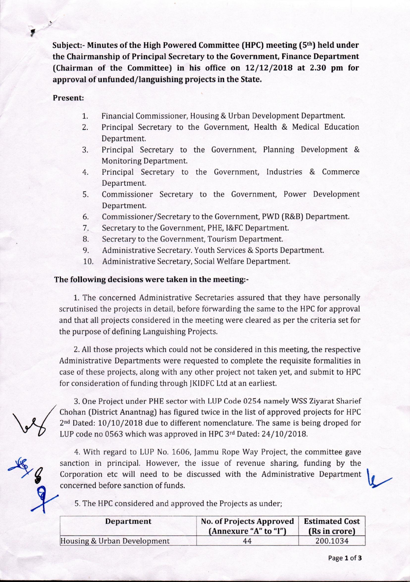**Subject:- Minutes of the High Powered Committee (HPC) meeting (5th) held under the Chairmanship of Principal Secretary to the Government, Finance Department (Chairman of the Committee) in his office on 12/12/2018 at 2.30 pm for approval of unfunded/languishing projects in the State.** 

## **Present:**

- 1. Financial Commissioner, Housing & Urban Development Department.
- 2. Principal Secretary to the Government, Health & Medical Education Department.
- 3. Principal Secretary to the Government, Planning Development & Monitoring Department.
- 4. Principal Secretary to the Government, Industries & Commerce Department.
- 5. Commissioner Secretary to the Government, Power Development Department.
- 6. Commissioner/Secretary to the Government, PWD (R&B) Department.
- 7. Secretary to the Government, PHE, I&FC Department.
- 8. Secretary to the Government, Tourism Department.
- 9. Administrative Secretary. Youth Services & Sports Department.
- 10. Administrative Secretary, Social Welfare Department.

## **The following decisions were taken in the meeting:-**

1. The concerned Administrative Secretaries assured that they have personally scrutinised the projects in detail, before forwarding the same to the HPC for approval and that all projects considered in the meeting were cleared as per the criteria set for the purpose of defining Languishing Projects.

2. All those projects which could not be considered in this meeting, the respective Administrative Departments were requested to complete the requisite formalities in case of these projects, along with any other project not taken yet, and submit to HPC for consideration of funding through JKIDFC Ltd at an earliest.

3. One Project under PHE sector with LUP Code 0254 namely WSS Ziyarat Sharief <sup>2</sup>nd Dated: 10/10/2018 due to different nomenclature. The same is being droped for LUP code no 0563 which was approved in HPC 3rd Dated: 24/10/2018.

Chohan (District Anantnag) has figured twice in the list of approved projects for HPC  $2<sup>nd</sup>$  Dated: 10/10/2018 due to different nomenclature. The same is being droped for LUP rode no 0563 which was approved in HPC  $3<$ 4. With regard to LUP No. 1606, Jammu Rope Way Project, the committee gave sanction in principal. However, the issue of revenue sharing, funding by the Corporation etc will need to be discussed with the Administrative Department concerned before sanction of funds.

5. The HPC considered and approved the Projects as under;

| Department                  | <b>No. of Projects Approved</b><br>(Annexure "A" to "I") | <b>Estimated Cost</b><br>(Rs in crore) |
|-----------------------------|----------------------------------------------------------|----------------------------------------|
| Housing & Urban Development | 44                                                       | 200.1034                               |